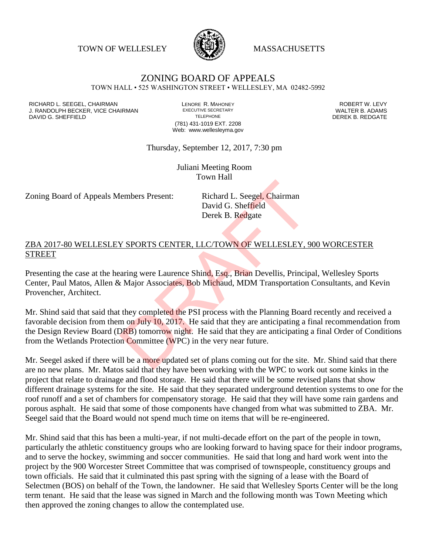TOWN OF WELLESLEY **WASSACHUSETTS** 



## ZONING BOARD OF APPEALS

TOWN HALL • 525 WASHINGTON STREET • WELLESLEY, MA 02482-5992

RICHARD L. SEEGEL, CHAIRMAN LENORE R. MAHONEY ROBERT W. LEVY J. RANDOLPH BECKER, VICE CHAIRMAN EXECUTIVE SECRETARY THE SANDOLPH BECKER, VICE CHAIRMAN EXECUTIVE SECRETARY TRANING SHEFFIFI D DAVID G. SHEFFIELD

(781) 431-1019 EXT. 2208 Web: www.wellesleyma.gov

Thursday, September 12, 2017, 7:30 pm

Juliani Meeting Room Town Hall

Zoning Board of Appeals Members Present: Richard L. Seegel, Chairman

David G. Sheffield Derek B. Redgate

## ZBA 2017-80 WELLESLEY SPORTS CENTER, LLC/TOWN OF WELLESLEY, 900 WORCESTER STREET

Presenting the case at the hearing were Laurence Shind, Esq., Brian Devellis, Principal, Wellesley Sports Center, Paul Matos, Allen & Major Associates, Bob Michaud, MDM Transportation Consultants, and Kevin Provencher, Architect.

Mr. Shind said that said that they completed the PSI process with the Planning Board recently and received a favorable decision from them on July 10, 2017. He said that they are anticipating a final recommendation from the Design Review Board (DRB) tomorrow night. He said that they are anticipating a final Order of Conditions from the Wetlands Protection Committee (WPC) in the very near future. Example The Second L. Seegel, Chairman<br>David G. Sheffield<br>Derek B. Redgate<br>Present: CENTER, LLC/TOWN OF WELLESLEY, 9<br>2. SPORTS CENTER, LLC/TOWN OF WELLESLEY, 9<br>2. SPORTS CENTER, LLC/TOWN OF WELLESLEY, 9<br>2. Sponsor CENTER,

Mr. Seegel asked if there will be a more updated set of plans coming out for the site. Mr. Shind said that there are no new plans. Mr. Matos said that they have been working with the WPC to work out some kinks in the project that relate to drainage and flood storage. He said that there will be some revised plans that show different drainage systems for the site. He said that they separated underground detention systems to one for the roof runoff and a set of chambers for compensatory storage. He said that they will have some rain gardens and porous asphalt. He said that some of those components have changed from what was submitted to ZBA. Mr. Seegel said that the Board would not spend much time on items that will be re-engineered.

Mr. Shind said that this has been a multi-year, if not multi-decade effort on the part of the people in town, particularly the athletic constituency groups who are looking forward to having space for their indoor programs, and to serve the hockey, swimming and soccer communities. He said that long and hard work went into the project by the 900 Worcester Street Committee that was comprised of townspeople, constituency groups and town officials. He said that it culminated this past spring with the signing of a lease with the Board of Selectmen (BOS) on behalf of the Town, the landowner. He said that Wellesley Sports Center will be the long term tenant. He said that the lease was signed in March and the following month was Town Meeting which then approved the zoning changes to allow the contemplated use.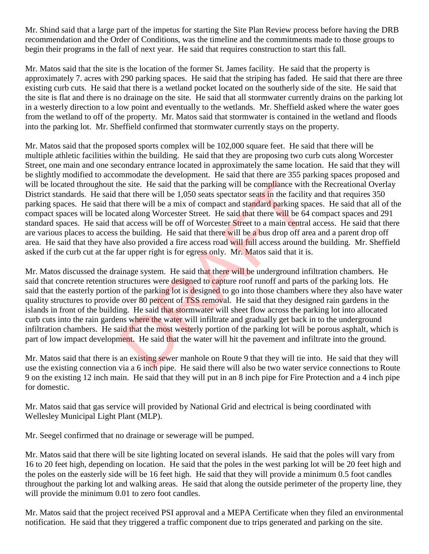Mr. Shind said that a large part of the impetus for starting the Site Plan Review process before having the DRB recommendation and the Order of Conditions, was the timeline and the commitments made to those groups to begin their programs in the fall of next year. He said that requires construction to start this fall.

Mr. Matos said that the site is the location of the former St. James facility. He said that the property is approximately 7. acres with 290 parking spaces. He said that the striping has faded. He said that there are three existing curb cuts. He said that there is a wetland pocket located on the southerly side of the site. He said that the site is flat and there is no drainage on the site. He said that all stormwater currently drains on the parking lot in a westerly direction to a low point and eventually to the wetlands. Mr. Sheffield asked where the water goes from the wetland to off of the property. Mr. Matos said that stormwater is contained in the wetland and floods into the parking lot. Mr. Sheffield confirmed that stormwater currently stays on the property.

Mr. Matos said that the proposed sports complex will be 102,000 square feet. He said that there will be multiple athletic facilities within the building. He said that they are proposing two curb cuts along Worcester Street, one main and one secondary entrance located in approximately the same location. He said that they will be slightly modified to accommodate the development. He said that there are 355 parking spaces proposed and will be located throughout the site. He said that the parking will be compliance with the Recreational Overlay District standards. He said that there will be 1,050 seats spectator seats in the facility and that requires 350 parking spaces. He said that there will be a mix of compact and standard parking spaces. He said that all of the compact spaces will be located along Worcester Street. He said that there will be 64 compact spaces and 291 standard spaces. He said that access will be off of Worcester Street to a main central access. He said that there are various places to access the building. He said that there will be a bus drop off area and a parent drop off area. He said that they have also provided a fire access road will full access around the building. Mr. Sheffield asked if the curb cut at the far upper right is for egress only. Mr. Matos said that it is. he site. He said that the parking will be compliance with<br>that there will be 1,050 seats spectator seats in the facility<br>t there will be a mix of compact and standard parking spa<br>ted along Worcester Street. He said that th

Mr. Matos discussed the drainage system. He said that there will be underground infiltration chambers. He said that concrete retention structures were designed to capture roof runoff and parts of the parking lots. He said that the easterly portion of the parking lot is designed to go into those chambers where they also have water quality structures to provide over 80 percent of TSS removal. He said that they designed rain gardens in the islands in front of the building. He said that stormwater will sheet flow across the parking lot into allocated curb cuts into the rain gardens where the water will infiltrate and gradually get back in to the underground infiltration chambers. He said that the most westerly portion of the parking lot will be porous asphalt, which is part of low impact development. He said that the water will hit the pavement and infiltrate into the ground.

Mr. Matos said that there is an existing sewer manhole on Route 9 that they will tie into. He said that they will use the existing connection via a 6 inch pipe. He said there will also be two water service connections to Route 9 on the existing 12 inch main. He said that they will put in an 8 inch pipe for Fire Protection and a 4 inch pipe for domestic.

Mr. Matos said that gas service will provided by National Grid and electrical is being coordinated with Wellesley Municipal Light Plant (MLP).

Mr. Seegel confirmed that no drainage or sewerage will be pumped.

Mr. Matos said that there will be site lighting located on several islands. He said that the poles will vary from 16 to 20 feet high, depending on location. He said that the poles in the west parking lot will be 20 feet high and the poles on the easterly side will be 16 feet high. He said that they will provide a minimum 0.5 foot candles throughout the parking lot and walking areas. He said that along the outside perimeter of the property line, they will provide the minimum 0.01 to zero foot candles.

Mr. Matos said that the project received PSI approval and a MEPA Certificate when they filed an environmental notification. He said that they triggered a traffic component due to trips generated and parking on the site.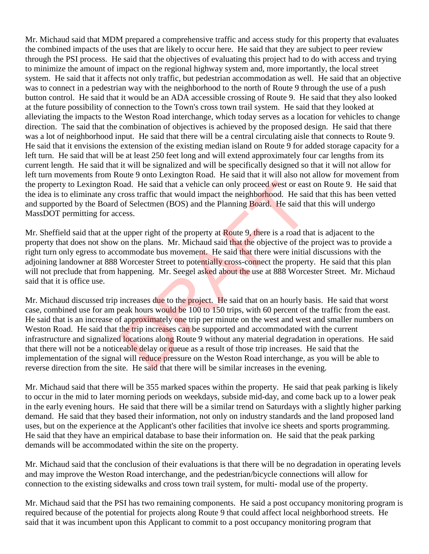Mr. Michaud said that MDM prepared a comprehensive traffic and access study for this property that evaluates the combined impacts of the uses that are likely to occur here. He said that they are subject to peer review through the PSI process. He said that the objectives of evaluating this project had to do with access and trying to minimize the amount of impact on the regional highway system and, more importantly, the local street system. He said that it affects not only traffic, but pedestrian accommodation as well. He said that an objective was to connect in a pedestrian way with the neighborhood to the north of Route 9 through the use of a push button control. He said that it would be an ADA accessible crossing of Route 9. He said that they also looked at the future possibility of connection to the Town's cross town trail system. He said that they looked at alleviating the impacts to the Weston Road interchange, which today serves as a location for vehicles to change direction. The said that the combination of objectives is achieved by the proposed design. He said that there was a lot of neighborhood input. He said that there will be a central circulating aisle that connects to Route 9. He said that it envisions the extension of the existing median island on Route 9 for added storage capacity for a left turn. He said that will be at least 250 feet long and will extend approximately four car lengths from its current length. He said that it will be signalized and will be specifically designed so that it will not allow for left turn movements from Route 9 onto Lexington Road. He said that it will also not allow for movement from the property to Lexington Road. He said that a vehicle can only proceed west or east on Route 9. He said that the idea is to eliminate any cross traffic that would impact the neighborhood. He said that this has been vetted and supported by the Board of Selectmen (BOS) and the Planning Board. He said that this will undergo MassDOT permitting for access.

Mr. Sheffield said that at the upper right of the property at Route 9, there is a road that is adjacent to the property that does not show on the plans. Mr. Michaud said that the objective of the project was to provide a right turn only egress to accommodate bus movement. He said that there were initial discussions with the adjoining landowner at 888 Worcester Street to potentially cross-connect the property. He said that this plan will not preclude that from happening. Mr. Seegel asked about the use at 888 Worcester Street. Mr. Michaud said that it is office use.

Mr. Michaud discussed trip increases due to the project. He said that on an hourly basis. He said that worst case, combined use for am peak hours would be 100 to 150 trips, with 60 percent of the traffic from the east. He said that is an increase of approximately one trip per minute on the west and west and smaller numbers on Weston Road. He said that the trip increases can be supported and accommodated with the current infrastructure and signalized locations along Route 9 without any material degradation in operations. He said that there will not be a noticeable delay or queue as a result of those trip increases. He said that the implementation of the signal will reduce pressure on the Weston Road interchange, as you will be able to reverse direction from the site. He said that there will be similar increases in the evening. oad. He said that a vehicle can only proceed west or east<br>cross traffic that would impact the neighborhood. He said<br>of Selectmen (BOS) and the Planning Board. He said th<br>cess.<br><br>e upper right of the property at Route 9, the

Mr. Michaud said that there will be 355 marked spaces within the property. He said that peak parking is likely to occur in the mid to later morning periods on weekdays, subside mid-day, and come back up to a lower peak in the early evening hours. He said that there will be a similar trend on Saturdays with a slightly higher parking demand. He said that they based their information, not only on industry standards and the land proposed land uses, but on the experience at the Applicant's other facilities that involve ice sheets and sports programming. He said that they have an empirical database to base their information on. He said that the peak parking demands will be accommodated within the site on the property.

Mr. Michaud said that the conclusion of their evaluations is that there will be no degradation in operating levels and may improve the Weston Road interchange, and the pedestrian/bicycle connections will allow for connection to the existing sidewalks and cross town trail system, for multi- modal use of the property.

Mr. Michaud said that the PSI has two remaining components. He said a post occupancy monitoring program is required because of the potential for projects along Route 9 that could affect local neighborhood streets. He said that it was incumbent upon this Applicant to commit to a post occupancy monitoring program that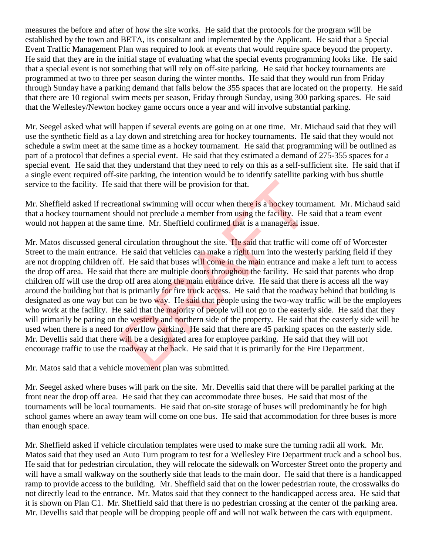measures the before and after of how the site works. He said that the protocols for the program will be established by the town and BETA, its consultant and implemented by the Applicant. He said that a Special Event Traffic Management Plan was required to look at events that would require space beyond the property. He said that they are in the initial stage of evaluating what the special events programming looks like. He said that a special event is not something that will rely on off-site parking. He said that hockey tournaments are programmed at two to three per season during the winter months. He said that they would run from Friday through Sunday have a parking demand that falls below the 355 spaces that are located on the property. He said that there are 10 regional swim meets per season, Friday through Sunday, using 300 parking spaces. He said that the Wellesley/Newton hockey game occurs once a year and will involve substantial parking.

Mr. Seegel asked what will happen if several events are going on at one time. Mr. Michaud said that they will use the synthetic field as a lay down and stretching area for hockey tournaments. He said that they would not schedule a swim meet at the same time as a hockey tournament. He said that programming will be outlined as part of a protocol that defines a special event. He said that they estimated a demand of 275-355 spaces for a special event. He said that they understand that they need to rely on this as a self-sufficient site. He said that if a single event required off-site parking, the intention would be to identify satellite parking with bus shuttle service to the facility. He said that there will be provision for that.

Mr. Sheffield asked if recreational swimming will occur when there is a hockey tournament. Mr. Michaud said that a hockey tournament should not preclude a member from using the facility. He said that a team event would not happen at the same time. Mr. Sheffield confirmed that is a managerial issue.

Mr. Matos discussed general circulation throughout the site. He said that traffic will come off of Worcester Street to the main entrance. He said that vehicles can make a right turn into the westerly parking field if they are not dropping children off. He said that buses will come in the main entrance and make a left turn to access the drop off area. He said that there are multiple doors throughout the facility. He said that parents who drop children off will use the drop off area along the main entrance drive. He said that there is access all the way around the building but that is primarily for fire truck access. He said that the roadway behind that building is designated as one way but can be two way. He said that people using the two-way traffic will be the employees who work at the facility. He said that the majority of people will not go to the easterly side. He said that they will primarily be paring on the westerly and northern side of the property. He said that the easterly side will be used when there is a need for overflow parking. He said that there are 45 parking spaces on the easterly side. Mr. Devellis said that there will be a designated area for employee parking. He said that they will not encourage traffic to use the roadway at the back. He said that it is primarily for the Fire Department. id that there will be provision for that.<br>
ational swimming will occur when there is a hockey tourn<br>
could not preclude a member from using the facility. He<br>
ine time. Mr. Sheffield confirmed that is a managerial iss<br>
1 ci

Mr. Matos said that a vehicle movement plan was submitted.

Mr. Seegel asked where buses will park on the site. Mr. Devellis said that there will be parallel parking at the front near the drop off area. He said that they can accommodate three buses. He said that most of the tournaments will be local tournaments. He said that on-site storage of buses will predominantly be for high school games where an away team will come on one bus. He said that accommodation for three buses is more than enough space.

Mr. Sheffield asked if vehicle circulation templates were used to make sure the turning radii all work. Mr. Matos said that they used an Auto Turn program to test for a Wellesley Fire Department truck and a school bus. He said that for pedestrian circulation, they will relocate the sidewalk on Worcester Street onto the property and will have a small walkway on the southerly side that leads to the main door. He said that there is a handicapped ramp to provide access to the building. Mr. Sheffield said that on the lower pedestrian route, the crosswalks do not directly lead to the entrance. Mr. Matos said that they connect to the handicapped access area. He said that it is shown on Plan C1. Mr. Sheffield said that there is no pedestrian crossing at the center of the parking area. Mr. Devellis said that people will be dropping people off and will not walk between the cars with equipment.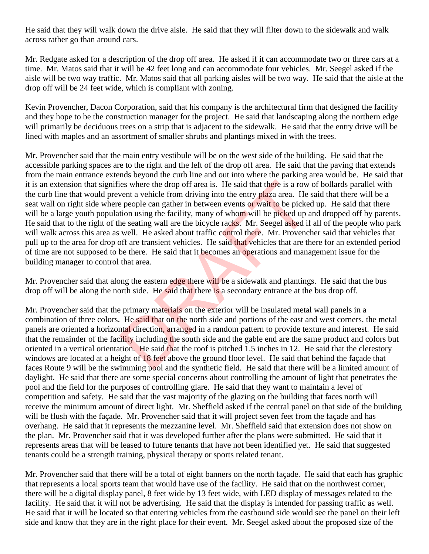He said that they will walk down the drive aisle. He said that they will filter down to the sidewalk and walk across rather go than around cars.

Mr. Redgate asked for a description of the drop off area. He asked if it can accommodate two or three cars at a time. Mr. Matos said that it will be 42 feet long and can accommodate four vehicles. Mr. Seegel asked if the aisle will be two way traffic. Mr. Matos said that all parking aisles will be two way. He said that the aisle at the drop off will be 24 feet wide, which is compliant with zoning.

Kevin Provencher, Dacon Corporation, said that his company is the architectural firm that designed the facility and they hope to be the construction manager for the project. He said that landscaping along the northern edge will primarily be deciduous trees on a strip that is adjacent to the sidewalk. He said that the entry drive will be lined with maples and an assortment of smaller shrubs and plantings mixed in with the trees.

Mr. Provencher said that the main entry vestibule will be on the west side of the building. He said that the accessible parking spaces are to the right and the left of the drop off area. He said that the paving that extends from the main entrance extends beyond the curb line and out into where the parking area would be. He said that it is an extension that signifies where the drop off area is. He said that there is a row of bollards parallel with the curb line that would prevent a vehicle from driving into the entry plaza area. He said that there will be a seat wall on right side where people can gather in between events or wait to be picked up. He said that there will be a large youth population using the facility, many of whom will be picked up and dropped off by parents. He said that to the right of the seating wall are the bicycle racks. Mr. Seegel asked if all of the people who park will walk across this area as well. He asked about traffic control there. Mr. Provencher said that vehicles that pull up to the area for drop off are transient vehicles. He said that vehicles that are there for an extended period of time are not supposed to be there. He said that it becomes an operations and management issue for the building manager to control that area. ies where the drop off area is. He said that there is a row<br>vent a vehicle from driving into the entry plaza area. He<br>e people can gather in between events or wait to be picked up a<br>tion using the facility, many of whom wi

Mr. Provencher said that along the eastern edge there will be a sidewalk and plantings. He said that the bus drop off will be along the north side. He said that there is a secondary entrance at the bus drop off.

Mr. Provencher said that the primary materials on the exterior will be insulated metal wall panels in a combination of three colors. He said that on the north side and portions of the east and west corners, the metal panels are oriented a horizontal direction, arranged in a random pattern to provide texture and interest. He said that the remainder of the facility including the south side and the gable end are the same product and colors but oriented in a vertical orientation. He said that the roof is pitched 1.5 inches in 12. He said that the clerestory windows are located at a height of 18 feet above the ground floor level. He said that behind the façade that faces Route 9 will be the swimming pool and the synthetic field. He said that there will be a limited amount of daylight. He said that there are some special concerns about controlling the amount of light that penetrates the pool and the field for the purposes of controlling glare. He said that they want to maintain a level of competition and safety. He said that the vast majority of the glazing on the building that faces north will receive the minimum amount of direct light. Mr. Sheffield asked if the central panel on that side of the building will be flush with the facade. Mr. Provencher said that it will project seven feet from the facade and has overhang. He said that it represents the mezzanine level. Mr. Sheffield said that extension does not show on the plan. Mr. Provencher said that it was developed further after the plans were submitted. He said that it represents areas that will be leased to future tenants that have not been identified yet. He said that suggested tenants could be a strength training, physical therapy or sports related tenant.

Mr. Provencher said that there will be a total of eight banners on the north façade. He said that each has graphic that represents a local sports team that would have use of the facility. He said that on the northwest corner, there will be a digital display panel, 8 feet wide by 13 feet wide, with LED display of messages related to the facility. He said that it will not be advertising. He said that the display is intended for passing traffic as well. He said that it will be located so that entering vehicles from the eastbound side would see the panel on their left side and know that they are in the right place for their event. Mr. Seegel asked about the proposed size of the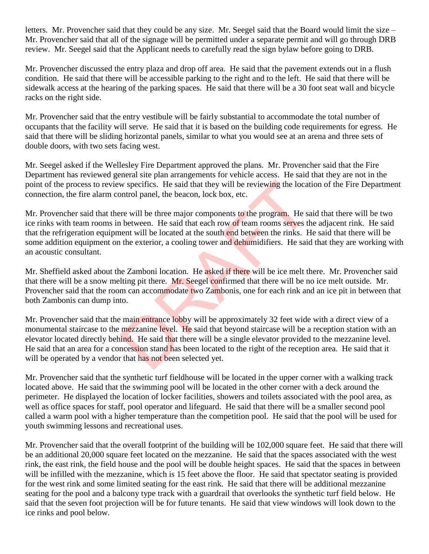letters. Mr. Provencher said that they could be any size. Mr. Seegel said that the Board would limit the size – Mr. Provencher said that all of the signage will be permitted under a separate permit and will go through DRB review. Mr. Seegel said that the Applicant needs to carefully read the sign bylaw before going to DRB.

Mr. Provencher discussed the entry plaza and drop off area. He said that the pavement extends out in a flush condition. He said that there will be accessible parking to the right and to the left. He said that there will be sidewalk access at the hearing of the parking spaces. He said that there will be a 30 foot seat wall and bicycle racks on the right side.

Mr. Provencher said that the entry vestibule will be fairly substantial to accommodate the total number of occupants that the facility will serve. He said that it is based on the building code requirements for egress. He said that there will be sliding horizontal panels, similar to what you would see at an arena and three sets of double doors, with two sets facing west.

Mr. Seegel asked if the Wellesley Fire Department approved the plans. Mr. Provencher said that the Fire Department has reviewed general site plan arrangements for vehicle access. He said that they are not in the point of the process to review specifics. He said that they will be reviewing the location of the Fire Department connection, the fire alarm control panel, the beacon, lock box, etc.

Mr. Provencher said that there will be three major components to the program. He said that there will be two ice rinks with team rooms in between. He said that each row of team rooms serves the adjacent rink. He said that the refrigeration equipment will be located at the south end between the rinks. He said that there will be some addition equipment on the exterior, a cooling tower and dehumidifiers. He said that they are working with an acoustic consultant. w specifics. He said that they will be reviewing the locat<br>ontrol panel, the beacon, lock box, etc.<br>re will be three major components to the program. He said<br>between. He said that each row of team rooms serves then<br>t will

Mr. Sheffield asked about the Zamboni location. He asked if there will be ice melt there. Mr. Provencher said that there will be a snow melting pit there. Mr. Seegel confirmed that there will be no ice melt outside. Mr. Provencher said that the room can accommodate two Zambonis, one for each rink and an ice pit in between that both Zambonis can dump into.

Mr. Provencher said that the main entrance lobby will be approximately 32 feet wide with a direct view of a monumental staircase to the mezzanine level. He said that beyond staircase will be a reception station with an elevator located directly behind. He said that there will be a single elevator provided to the mezzanine level. He said that an area for a concession stand has been located to the right of the reception area. He said that it will be operated by a vendor that has not been selected yet.

Mr. Provencher said that the synthetic turf fieldhouse will be located in the upper corner with a walking track located above. He said that the swimming pool will be located in the other corner with a deck around the perimeter. He displayed the location of locker facilities, showers and toilets associated with the pool area, as well as office spaces for staff, pool operator and lifeguard. He said that there will be a smaller second pool called a warm pool with a higher temperature than the competition pool. He said that the pool will be used for youth swimming lessons and recreational uses.

Mr. Provencher said that the overall footprint of the building will be 102,000 square feet. He said that there will be an additional 20,000 square feet located on the mezzanine. He said that the spaces associated with the west rink, the east rink, the field house and the pool will be double height spaces. He said that the spaces in between will be infilled with the mezzanine, which is 15 feet above the floor. He said that spectator seating is provided for the west rink and some limited seating for the east rink. He said that there will be additional mezzanine seating for the pool and a balcony type track with a guardrail that overlooks the synthetic turf field below. He said that the seven foot projection will be for future tenants. He said that view windows will look down to the ice rinks and pool below.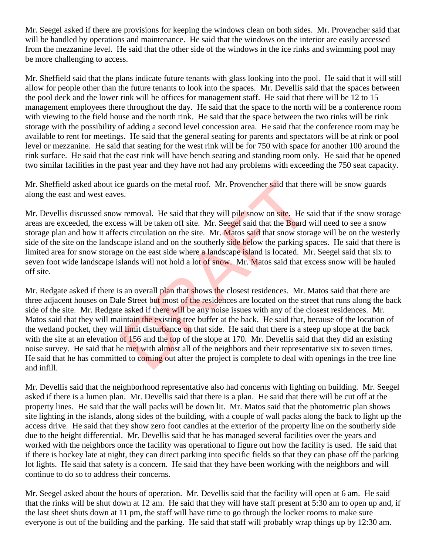Mr. Seegel asked if there are provisions for keeping the windows clean on both sides. Mr. Provencher said that will be handled by operations and maintenance. He said that the windows on the interior are easily accessed from the mezzanine level. He said that the other side of the windows in the ice rinks and swimming pool may be more challenging to access.

Mr. Sheffield said that the plans indicate future tenants with glass looking into the pool. He said that it will still allow for people other than the future tenants to look into the spaces. Mr. Devellis said that the spaces between the pool deck and the lower rink will be offices for management staff. He said that there will be 12 to 15 management employees there throughout the day. He said that the space to the north will be a conference room with viewing to the field house and the north rink. He said that the space between the two rinks will be rink storage with the possibility of adding a second level concession area. He said that the conference room may be available to rent for meetings. He said that the general seating for parents and spectators will be at rink or pool level or mezzanine. He said that seating for the west rink will be for 750 with space for another 100 around the rink surface. He said that the east rink will have bench seating and standing room only. He said that he opened two similar facilities in the past year and they have not had any problems with exceeding the 750 seat capacity.

Mr. Sheffield asked about ice guards on the metal roof. Mr. Provencher said that there will be snow guards along the east and west eaves.

Mr. Devellis discussed snow removal. He said that they will pile snow on site. He said that if the snow storage areas are exceeded, the excess will be taken off site. Mr. Seegel said that the Board will need to see a snow storage plan and how it affects circulation on the site. Mr. Matos said that snow storage will be on the westerly side of the site on the landscape island and on the southerly side below the parking spaces. He said that there is limited area for snow storage on the east side where a landscape island is located. Mr. Seegel said that six to seven foot wide landscape islands will not hold a lot of snow. Mr. Matos said that excess snow will be hauled off site.

Mr. Redgate asked if there is an overall plan that shows the closest residences. Mr. Matos said that there are three adjacent houses on Dale Street but most of the residences are located on the street that runs along the back side of the site. Mr. Redgate asked if there will be any noise issues with any of the closest residences. Mr. Matos said that they will maintain the existing tree buffer at the back. He said that, because of the location of the wetland pocket, they will limit disturbance on that side. He said that there is a steep up slope at the back with the site at an elevation of 156 and the top of the slope at 170. Mr. Devellis said that they did an existing noise survey. He said that he met with almost all of the neighbors and their representative six to seven times. He said that he has committed to coming out after the project is complete to deal with openings in the tree line and infill. e guards on the metal roof. Mr. Provencher said that the<br>ss.<br>w removal. He said that they will pile snow on site. He s<br>ss will be taken off site. Mr. Seegel said that the Board v<br>cts circulation on the site. Mr. Matos said

Mr. Devellis said that the neighborhood representative also had concerns with lighting on building. Mr. Seegel asked if there is a lumen plan. Mr. Devellis said that there is a plan. He said that there will be cut off at the property lines. He said that the wall packs will be down lit. Mr. Matos said that the photometric plan shows site lighting in the islands, along sides of the building, with a couple of wall packs along the back to light up the access drive. He said that they show zero foot candles at the exterior of the property line on the southerly side due to the height differential. Mr. Devellis said that he has managed several facilities over the years and worked with the neighbors once the facility was operational to figure out how the facility is used. He said that if there is hockey late at night, they can direct parking into specific fields so that they can phase off the parking lot lights. He said that safety is a concern. He said that they have been working with the neighbors and will continue to do so to address their concerns.

Mr. Seegel asked about the hours of operation. Mr. Devellis said that the facility will open at 6 am. He said that the rinks will be shut down at 12 am. He said that they will have staff present at 5:30 am to open up and, if the last sheet shuts down at 11 pm, the staff will have time to go through the locker rooms to make sure everyone is out of the building and the parking. He said that staff will probably wrap things up by 12:30 am.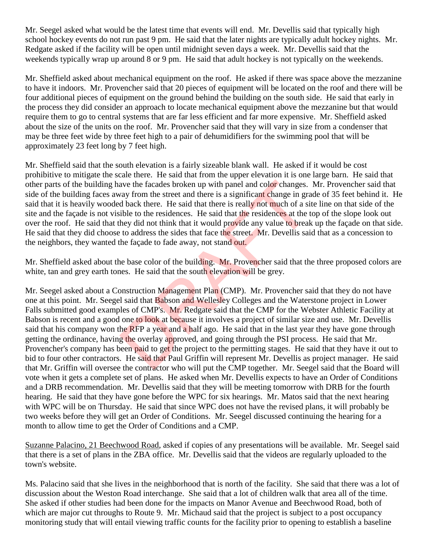Mr. Seegel asked what would be the latest time that events will end. Mr. Devellis said that typically high school hockey events do not run past 9 pm. He said that the later nights are typically adult hockey nights. Mr. Redgate asked if the facility will be open until midnight seven days a week. Mr. Devellis said that the weekends typically wrap up around 8 or 9 pm. He said that adult hockey is not typically on the weekends.

Mr. Sheffield asked about mechanical equipment on the roof. He asked if there was space above the mezzanine to have it indoors. Mr. Provencher said that 20 pieces of equipment will be located on the roof and there will be four additional pieces of equipment on the ground behind the building on the south side. He said that early in the process they did consider an approach to locate mechanical equipment above the mezzanine but that would require them to go to central systems that are far less efficient and far more expensive. Mr. Sheffield asked about the size of the units on the roof. Mr. Provencher said that they will vary in size from a condenser that may be three feet wide by three feet high to a pair of dehumidifiers for the swimming pool that will be approximately 23 feet long by 7 feet high.

Mr. Sheffield said that the south elevation is a fairly sizeable blank wall. He asked if it would be cost prohibitive to mitigate the scale there. He said that from the upper elevation it is one large barn. He said that other parts of the building have the facades broken up with panel and color changes. Mr. Provencher said that side of the building faces away from the street and there is a significant change in grade of 35 feet behind it. He said that it is heavily wooded back there. He said that there is really not much of a site line on that side of the site and the façade is not visible to the residences. He said that the residences at the top of the slope look out over the roof. He said that they did not think that it would provide any value to break up the façade on that side. He said that they did choose to address the sides that face the street. Mr. Devellis said that as a concession to the neighbors, they wanted the façade to fade away, not stand out.

Mr. Sheffield asked about the base color of the building. Mr. Provencher said that the three proposed colors are white, tan and grey earth tones. He said that the south elevation will be grey.

Mr. Seegel asked about a Construction Management Plan (CMP). Mr. Provencher said that they do not have one at this point. Mr. Seegel said that Babson and Wellesley Colleges and the Waterstone project in Lower Falls submitted good examples of CMP's. Mr. Redgate said that the CMP for the Webster Athletic Facility at Babson is recent and a good one to look at because it involves a project of similar size and use. Mr. Devellis said that his company won the RFP a year and a half ago. He said that in the last year they have gone through getting the ordinance, having the overlay approved, and going through the PSI process. He said that Mr. Provencher's company has been paid to get the project to the permitting stages. He said that they have it out to bid to four other contractors. He said that Paul Griffin will represent Mr. Devellis as project manager. He said that Mr. Griffin will oversee the contractor who will put the CMP together. Mr. Seegel said that the Board will vote when it gets a complete set of plans. He asked when Mr. Devellis expects to have an Order of Conditions and a DRB recommendation. Mr. Devellis said that they will be meeting tomorrow with DRB for the fourth hearing. He said that they have gone before the WPC for six hearings. Mr. Matos said that the next hearing with WPC will be on Thursday. He said that since WPC does not have the revised plans, it will probably be two weeks before they will get an Order of Conditions. Mr. Seegel discussed continuing the hearing for a month to allow time to get the Order of Conditions and a CMP. ave the facades broken up with panel and color changes.<br>
Exay from the street and there is a significant change in grad back there. He said that there is really not much of a si<br>
ible to the residences. He said that the re

Suzanne Palacino, 21 Beechwood Road, asked if copies of any presentations will be available. Mr. Seegel said that there is a set of plans in the ZBA office. Mr. Devellis said that the videos are regularly uploaded to the town's website.

Ms. Palacino said that she lives in the neighborhood that is north of the facility. She said that there was a lot of discussion about the Weston Road interchange. She said that a lot of children walk that area all of the time. She asked if other studies had been done for the impacts on Manor Avenue and Beechwood Road, both of which are major cut throughs to Route 9. Mr. Michaud said that the project is subject to a post occupancy monitoring study that will entail viewing traffic counts for the facility prior to opening to establish a baseline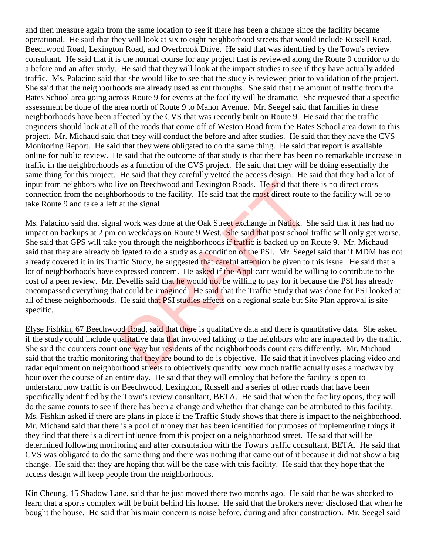and then measure again from the same location to see if there has been a change since the facility became operational. He said that they will look at six to eight neighborhood streets that would include Russell Road, Beechwood Road, Lexington Road, and Overbrook Drive. He said that was identified by the Town's review consultant. He said that it is the normal course for any project that is reviewed along the Route 9 corridor to do a before and an after study. He said that they will look at the impact studies to see if they have actually added traffic. Ms. Palacino said that she would like to see that the study is reviewed prior to validation of the project. She said that the neighborhoods are already used as cut throughs. She said that the amount of traffic from the Bates School area going across Route 9 for events at the facility will be dramatic. She requested that a specific assessment be done of the area north of Route 9 to Manor Avenue. Mr. Seegel said that families in these neighborhoods have been affected by the CVS that was recently built on Route 9. He said that the traffic engineers should look at all of the roads that come off of Weston Road from the Bates School area down to this project. Mr. Michaud said that they will conduct the before and after studies. He said that they have the CVS Monitoring Report. He said that they were obligated to do the same thing. He said that report is available online for public review. He said that the outcome of that study is that there has been no remarkable increase in traffic in the neighborhoods as a function of the CVS project. He said that they will be doing essentially the same thing for this project. He said that they carefully vetted the access design. He said that they had a lot of input from neighbors who live on Beechwood and Lexington Roads. He said that there is no direct cross connection from the neighborhoods to the facility. He said that the most direct route to the facility will be to take Route 9 and take a left at the signal.

Ms. Palacino said that signal work was done at the Oak Street exchange in Natick. She said that it has had no impact on backups at 2 pm on weekdays on Route 9 West. She said that post school traffic will only get worse. She said that GPS will take you through the neighborhoods if traffic is backed up on Route 9. Mr. Michaud said that they are already obligated to do a study as a condition of the PSI. Mr. Seegel said that if MDM has not already covered it in its Traffic Study, he suggested that careful attention be given to this issue. He said that a lot of neighborhoods have expressed concern. He asked if the Applicant would be willing to contribute to the cost of a peer review. Mr. Devellis said that he would not be willing to pay for it because the PSI has already encompassed everything that could be imagined. He said that the Traffic Study that was done for PSI looked at all of these neighborhoods. He said that PSI studies effects on a regional scale but Site Plan approval is site specific. ve on Beechwood and Lexington Roads. He said that the<br>orhoods to the facility. He said that the most direct route<br>at the signal.<br>I work was done at the Oak Street exchange in Natick. S<br>on weekdays on Route 9 West. She said

Elyse Fishkin, 67 Beechwood Road, said that there is qualitative data and there is quantitative data. She asked if the study could include qualitative data that involved talking to the neighbors who are impacted by the traffic. She said the counters count one way but residents of the neighborhoods count cars differently. Mr. Michaud said that the traffic monitoring that they are bound to do is objective. He said that it involves placing video and radar equipment on neighborhood streets to objectively quantify how much traffic actually uses a roadway by hour over the course of an entire day. He said that they will employ that before the facility is open to understand how traffic is on Beechwood, Lexington, Russell and a series of other roads that have been specifically identified by the Town's review consultant, BETA. He said that when the facility opens, they will do the same counts to see if there has been a change and whether that change can be attributed to this facility. Ms. Fishkin asked if there are plans in place if the Traffic Study shows that there is impact to the neighborhood. Mr. Michaud said that there is a pool of money that has been identified for purposes of implementing things if they find that there is a direct influence from this project on a neighborhood street. He said that will be determined following monitoring and after consultation with the Town's traffic consultant, BETA. He said that CVS was obligated to do the same thing and there was nothing that came out of it because it did not show a big change. He said that they are hoping that will be the case with this facility. He said that they hope that the access design will keep people from the neighborhoods.

Kin Cheung, 15 Shadow Lane, said that he just moved there two months ago. He said that he was shocked to learn that a sports complex will be built behind his house. He said that the brokers never disclosed that when he bought the house. He said that his main concern is noise before, during and after construction. Mr. Seegel said